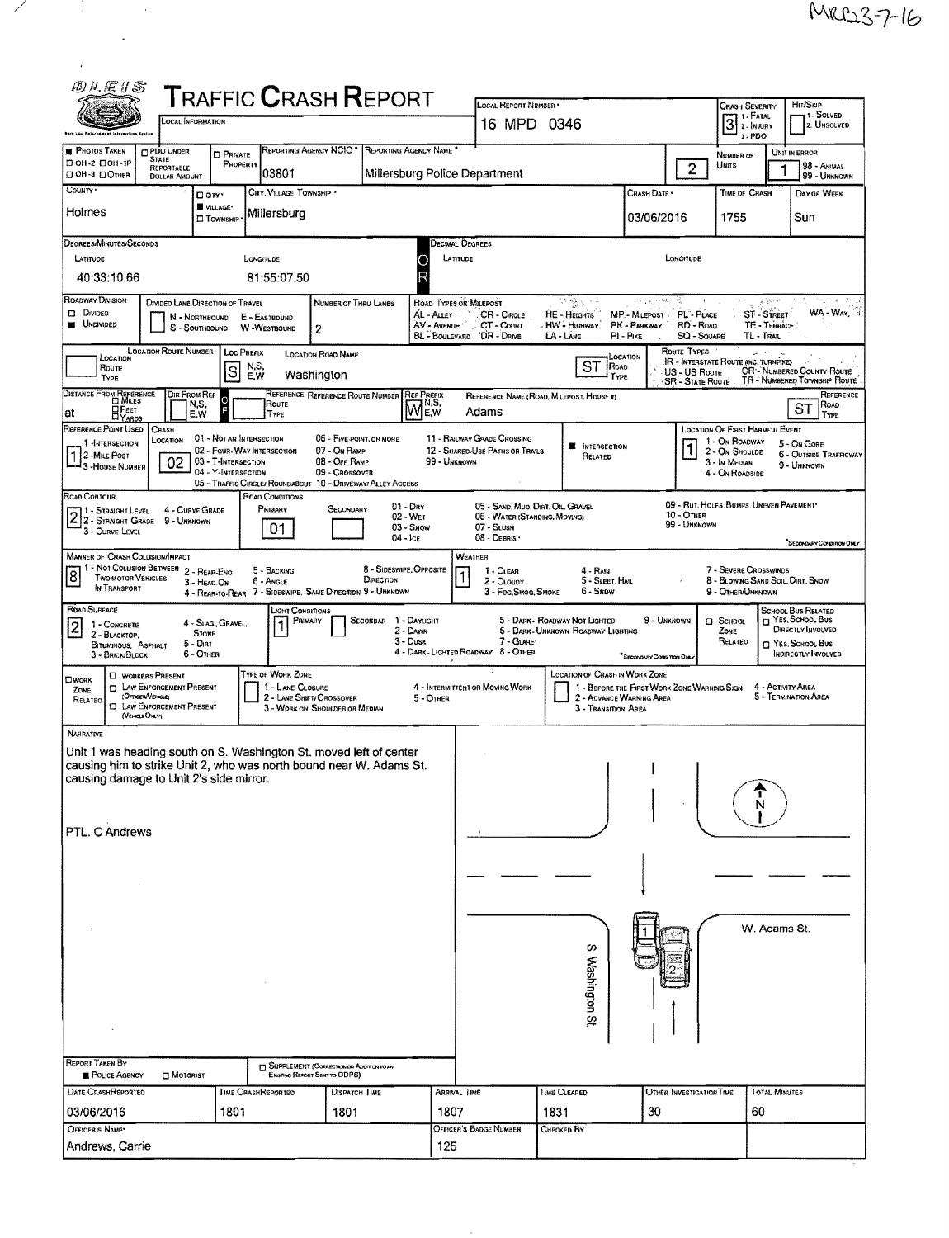| 四丛医甘苏                                                                                     |                                                                                                                                                                                      |                                                                                                      |                                                                                                      |                                                                             |                                                                                     | LOCAL REPORT NUMBER *                                                                             |                                                                                   |                                                                                                  |                                                                                                                | HIT/SKIP                                                                                                |  |  |  |
|-------------------------------------------------------------------------------------------|--------------------------------------------------------------------------------------------------------------------------------------------------------------------------------------|------------------------------------------------------------------------------------------------------|------------------------------------------------------------------------------------------------------|-----------------------------------------------------------------------------|-------------------------------------------------------------------------------------|---------------------------------------------------------------------------------------------------|-----------------------------------------------------------------------------------|--------------------------------------------------------------------------------------------------|----------------------------------------------------------------------------------------------------------------|---------------------------------------------------------------------------------------------------------|--|--|--|
| <b>T</b> RAFFIC <b>C</b> RASH <b>R</b> EPORT<br><b>OCAL INFORMATION</b>                   |                                                                                                                                                                                      |                                                                                                      |                                                                                                      |                                                                             |                                                                                     | 16 MPD 0346                                                                                       |                                                                                   |                                                                                                  | <b>CRASH SEVERITY</b><br>1 - FATAL                                                                             | 1 - Solved<br>3 <br>2. UNSOLVED<br>2 - INJURY                                                           |  |  |  |
| <b>PHOTOS TAKEN</b>                                                                       | PDO UNDER                                                                                                                                                                            |                                                                                                      | REPORTING AGENCY NCIC <sup>*</sup>                                                                   |                                                                             | REPORTING AGENCY NAME                                                               |                                                                                                   |                                                                                   |                                                                                                  | $3.$ PDO                                                                                                       |                                                                                                         |  |  |  |
| □ он-2 □ он-1Р<br>⊡ ОН-З ⊡Отнев                                                           | <b>STATE</b><br>REPORTABLE<br><b>DOLLAR AMOUNT</b>                                                                                                                                   | <b>D</b> PRIVATE<br>PROPERTY                                                                         | 03801                                                                                                |                                                                             | Millersburg Police Department                                                       |                                                                                                   |                                                                                   | $\overline{2}$                                                                                   | NUMBER OF<br>UNITS                                                                                             | UNIT IN ERROR<br>98 - ANIMAL<br>99 - UNKNOWN                                                            |  |  |  |
| COUNTY *                                                                                  | D cirr *                                                                                                                                                                             | VILLAGE*                                                                                             | CITY, VILLAGE, TOWNSHIP                                                                              |                                                                             |                                                                                     |                                                                                                   |                                                                                   | Crash Date *                                                                                     | TIME OF CRASH                                                                                                  | DAY OF WEEK                                                                                             |  |  |  |
| Holmes                                                                                    |                                                                                                                                                                                      | □ Townsн <sub>P</sub>                                                                                | Millersburg                                                                                          |                                                                             |                                                                                     |                                                                                                   |                                                                                   | 03/06/2016                                                                                       | 1755                                                                                                           | Sun                                                                                                     |  |  |  |
| DEGREES/MINUTES/SECONDS<br>LATITUDE                                                       |                                                                                                                                                                                      | LONGITUDE                                                                                            |                                                                                                      |                                                                             | Decimal Degrees<br>LATITUDE                                                         |                                                                                                   |                                                                                   | LONGITUDE                                                                                        |                                                                                                                |                                                                                                         |  |  |  |
| 40:33:10.66                                                                               |                                                                                                                                                                                      |                                                                                                      | 81:55:07.50                                                                                          |                                                                             | О<br>R                                                                              |                                                                                                   |                                                                                   |                                                                                                  |                                                                                                                |                                                                                                         |  |  |  |
| ROADWAY DIVISION<br>D DIVIDEO<br><b>UNDIVIDED</b>                                         | DIVIDEO LANE DIRECTION OF TRAVEL<br>N - NORTHBOUND<br>S - SOUTHBOUND                                                                                                                 | E - EASTBOUND<br>W-WESTBOUND                                                                         | 2                                                                                                    | <b>NUMBER OF THRU LANES</b>                                                 | ROAD TYPES OR MILEPOST<br>AL - Auey - "<br>AV - AVENUE CT - COURT<br>BL - BOULEVARD | . CR - Circle<br>DR - DRNE                                                                        | 计稳长<br>HE - HEIGHTS<br>- HW - Highway<br>$LA$ - LANE                              | MP MILEPOST PL PLACE<br>PK - PARKWAY<br>RD - Ro <sub>A</sub> p<br>PI - Pike<br><b>SQ'-SOUARE</b> | <b>ST-STREET</b><br>TE - TERRACE<br>TL - TRAIL                                                                 | WA-WAY                                                                                                  |  |  |  |
| LOCATION<br>Route<br>TYPE                                                                 | <b>LOCATION ROUTE NUMBER</b>                                                                                                                                                         | Loc Prefix<br>N.S.<br>ls<br>E,W                                                                      | <b>LOCATION ROAD NAME</b><br>Washington                                                              |                                                                             |                                                                                     |                                                                                                   | <b>ST</b><br>ROAD<br>TYPE                                                         | ROUTE TYPES<br>LOCATION<br>US - US Route                                                         | <b>IR - INTERSTATE ROUTE (INC. TURNPIKE)</b>                                                                   | <b>CR-NUMBERED COUNTY ROUTE</b><br>SR - STATE ROUTE TR - NUMBERED TOWNSHIP ROUTE                        |  |  |  |
| DISTANCE FROM REFERENCE<br><b>DFEET</b><br>at<br><b>DYARDS</b>                            | <b>DIR FROM REF</b><br>N.S,<br>E,W                                                                                                                                                   |                                                                                                      | REFERENCE REFERENCE ROUTE NUMBER<br><b>ROUTE</b><br>TYPE                                             |                                                                             | <b>REF PREFIX</b><br><b>MEW</b>                                                     | Adams                                                                                             | REFERENCE NAME (ROAD, MILEPOST, HOUSE #)                                          |                                                                                                  |                                                                                                                | REFERENCE<br>ROAD<br><b>ST</b><br>TYPE                                                                  |  |  |  |
| REFERENCE POINT USED<br>1 HNTERSECTION<br>2 - Mile Post<br>3 - House NUMBER               | CRASH<br>Location<br>02                                                                                                                                                              | 01 - NOT AN INTERSECTION<br>02 - FOUR-WAY INTERSECTION<br>03 - T-INTERSECTION<br>04 - Y-INTERSECTION | 05 - TRAFFIC CIRCLE/ ROUNDABOUT 10 - DRIVEWAY/ ALLEY ACCESS                                          | 06 - FIVE POINT, OR MORE<br>07 - On Ramp<br>08 - OFF RAMP<br>09 - Crossover | 99 - UNKNOWN                                                                        | <b>11 - RAILWAY GRADE CROSSING</b><br>12 - SHARED-USE PATHS OR TRAILS                             | <b>W</b> INTERSECTION<br>RELATED                                                  |                                                                                                  | <b>LOCATION OF FIRST HARMFUL EVENT</b><br>1 - On ROADWAY<br>2 - ON SHOULDE<br>3 - In Median<br>4 - On ROADSIDE | 5 - ON GORE<br><b>6 - OUTSIDE TRAFFICWAY</b><br>9 - UNKNOWN                                             |  |  |  |
| ROAD CONTOUR<br>1 - STRAIGHT LEVEL<br>42 - STRAIGHT GRADE<br>3 - CURVE LEVEL              | 4 - CURVE GRADE<br>9 - UNKNOWN                                                                                                                                                       |                                                                                                      | ROAD CONDITIONS<br>PRIMARY<br>01                                                                     | SECONDARY<br>$04 -$ ICE                                                     | $01 - \text{Drv}$<br>02 - Wer<br>$03 -$ Snow                                        | 05 - SAND, MUD, DIRT, OIL, GRAVEL<br>06 - WATER (STANDING, MOVING)<br>07 - SLUSH<br>08 - DEBRIS · |                                                                                   | 10 - Отнен<br>99 - UNKNOWN                                                                       | 09 - RUT, HOLES, BUMPS, UNEVEN PAVEMENT*                                                                       | Secondiday Containon Only                                                                               |  |  |  |
| <b>MANNER OF CRASH COLLISION/IMPACT</b><br>8<br><b>TWO MOTOR VEHICLES</b><br>IN TRANSPORT | 1 - Not Collision Between 2 - Rear-Eno<br>3 - HEAD-ON                                                                                                                                |                                                                                                      | 5 - BACKING<br>6 - Angle<br>4 - REAR-TO-REAR 7 - SIDESWIPE, -SAME DIRECTION 9 - UNKNOWN              | 8 - SIDESWIPE, OPPOSITE<br>DIRECTION                                        |                                                                                     | WEATHER<br>$1 - CLEAR$<br>2 - CLOUDY<br>3 - Fog, Smog, Smoke                                      | 4 - RAIN<br>5 - SLEET HAIL<br>6 - Sxow                                            |                                                                                                  | 7 - SEVERE CROSSWINDS<br>8 - BLOWING SAND, SOIL, DIRT, SNOW<br>9 - OTHER/UNKNOWN                               |                                                                                                         |  |  |  |
| ROAD SURFACE<br>1 - CONCRETE<br>2 - BLACKTOP,<br>BITUMINOUS, ASPHALT<br>3 - BRICK/BLOCK   | <b>STONE</b><br>5 - Dirt<br>6 - OTHER                                                                                                                                                | 4 - SLAG, GRAVEL.                                                                                    | LIGHT CONDITIONS<br>PRIMARY                                                                          | SECONDAR 1 - DAYUGHT                                                        | 2 - DAWN<br>3 - Dusk                                                                | 7 - GLARE'<br>4 - DARK - LIGHTED ROADWAY 8 - OTHER                                                | 5 - DARK - ROADWAY NOT LIGHTED<br>6 - DARK - UNKNOWN ROADWAY LIGHTING             | 9 - Unknown<br><sup>*</sup> SECONDARY CONDITION ONLY                                             | $\Box$ School<br>ZONE<br>RELATEO                                                                               | SCHOOL BUS RELATED<br>T YES SCHOOL BUS<br>DIRECTLY INVOLVED<br>T YES, SCHOOL BUS<br>INDIRECTLY INVOLVED |  |  |  |
| <b>CIWORK</b><br>ZONE<br>RELATED                                                          | <b>CI WORKERS PRESENT</b><br><b>ET LAW ENFORCEMENT PRESENT</b><br>(OFFICER/VEHICLE)<br><b>C LAW ENFORCEMENT PRESENT</b><br>(VEHICLEOHLY)                                             |                                                                                                      | TYPE OF WORK ZONE<br>1 - LANE CLOSURE<br>2 - LANE SHIFT/ CROSSOVER<br>3 - WORK ON SHOULDER OR MEDIAN |                                                                             | 5 - OTHER                                                                           | 4 - INTERMITTENT OR MOVING WORK                                                                   | LOCATION OF CRASH IN WORK ZONE<br>2 - ADVANCE WARNING AREA<br>3 - Transition Area | 1 - BEFORE THE FIRST WORK ZONE WARNING SIGN                                                      |                                                                                                                | 4 - ACTIVITY AREA<br>5 - TERMINATION AREA                                                               |  |  |  |
| <b>NARRATIVE</b><br>PTL. C Andrews                                                        | Unit 1 was heading south on S. Washington St. moved left of center<br>causing him to strike Unit 2, who was north bound near W. Adams St.<br>causing damage to Unit 2's side mirror. |                                                                                                      |                                                                                                      |                                                                             |                                                                                     |                                                                                                   |                                                                                   |                                                                                                  |                                                                                                                |                                                                                                         |  |  |  |
|                                                                                           |                                                                                                                                                                                      |                                                                                                      |                                                                                                      |                                                                             |                                                                                     |                                                                                                   |                                                                                   |                                                                                                  |                                                                                                                |                                                                                                         |  |  |  |
| REPORT TAKEN BY                                                                           |                                                                                                                                                                                      |                                                                                                      |                                                                                                      |                                                                             |                                                                                     |                                                                                                   | ŗ,<br>Washington St                                                               |                                                                                                  | W. Adams St.                                                                                                   |                                                                                                         |  |  |  |
| <b>E</b> POLICE AGENCY                                                                    | $\Box$ MOTORIST                                                                                                                                                                      |                                                                                                      | <b>ET SUPPLEMENT (CORRECTION OR ADDITION)</b><br>EXISTING REPORT SENT TO ODPS)                       |                                                                             |                                                                                     |                                                                                                   |                                                                                   |                                                                                                  |                                                                                                                |                                                                                                         |  |  |  |
| <b>DATE CRASHREPORTED</b><br>03/06/2016                                                   |                                                                                                                                                                                      | TIME CRASHREPORTED<br>1801                                                                           |                                                                                                      | DISPATCH TIME<br>1801                                                       | ARRIVAL TIME<br>1807                                                                |                                                                                                   | TIME CLEARED<br>1831                                                              | OTHER INVESTIGATION TIME<br>30                                                                   | <b>TOTAL MINUTES</b><br>60                                                                                     |                                                                                                         |  |  |  |
| OFFICER'S NAME'                                                                           |                                                                                                                                                                                      |                                                                                                      |                                                                                                      |                                                                             |                                                                                     | Officer's Badge Number                                                                            | CHECKED BY                                                                        |                                                                                                  |                                                                                                                |                                                                                                         |  |  |  |
| Andrews, Carrie                                                                           |                                                                                                                                                                                      |                                                                                                      |                                                                                                      |                                                                             | 125                                                                                 |                                                                                                   |                                                                                   |                                                                                                  |                                                                                                                |                                                                                                         |  |  |  |

Maria Maria Barat

 $\mathcal{L}$ 

 $\frac{1}{2} \sum_{i=1}^n \frac{1}{2} \sum_{j=1}^n \frac{1}{2} \sum_{j=1}^n \frac{1}{2} \sum_{j=1}^n \frac{1}{2} \sum_{j=1}^n \frac{1}{2} \sum_{j=1}^n \frac{1}{2} \sum_{j=1}^n \frac{1}{2} \sum_{j=1}^n \frac{1}{2} \sum_{j=1}^n \frac{1}{2} \sum_{j=1}^n \frac{1}{2} \sum_{j=1}^n \frac{1}{2} \sum_{j=1}^n \frac{1}{2} \sum_{j=1}^n \frac{1}{2} \sum_{j=$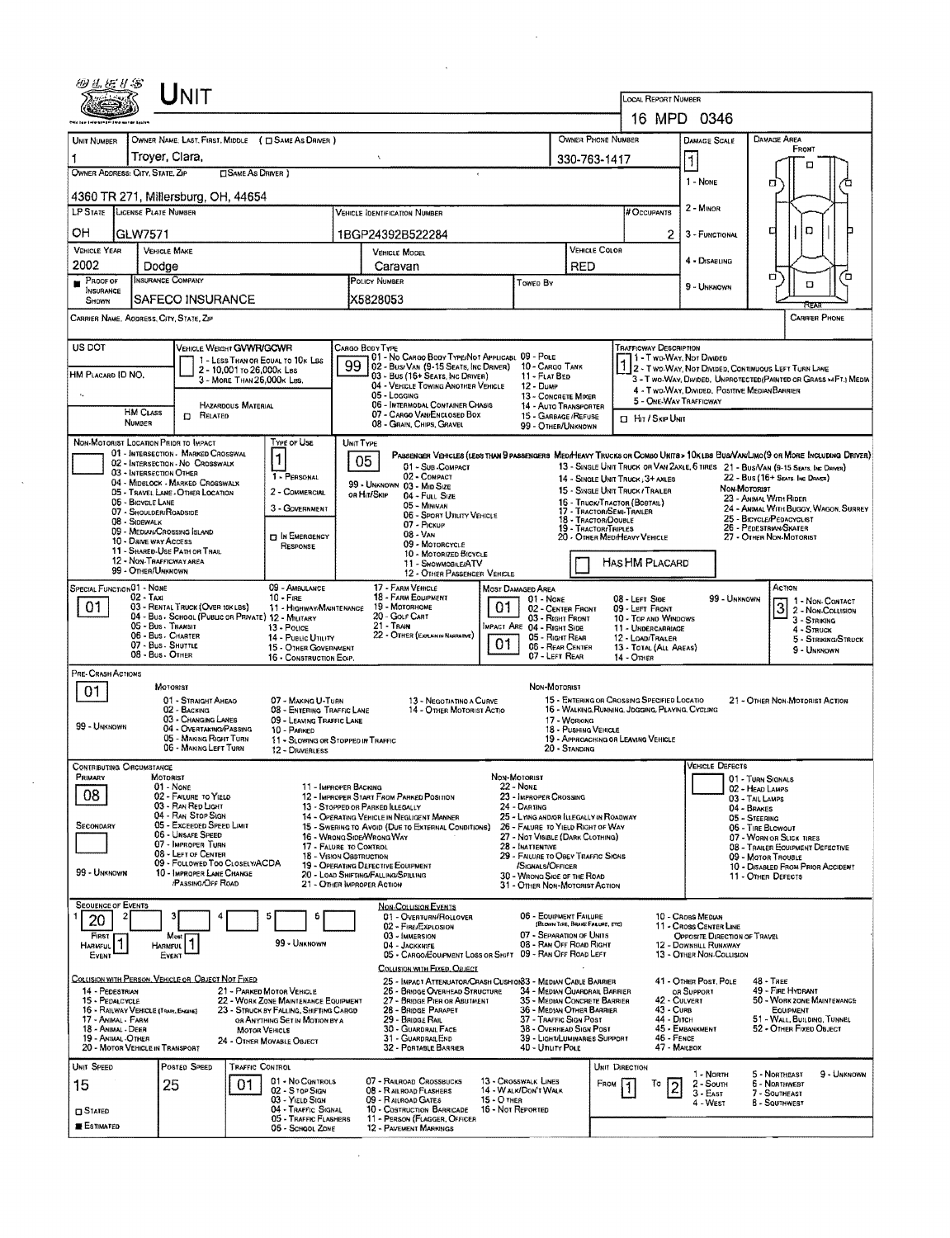|                                          | Unit                                                                         |                                |                                                                                |                                                                                                                                                   |                                                                                                          |                                    |                                                                             |                                             |                                                                                                 |                                                                                                                           |              |                                                                                                                                                                                                                    |  |  |
|------------------------------------------|------------------------------------------------------------------------------|--------------------------------|--------------------------------------------------------------------------------|---------------------------------------------------------------------------------------------------------------------------------------------------|----------------------------------------------------------------------------------------------------------|------------------------------------|-----------------------------------------------------------------------------|---------------------------------------------|-------------------------------------------------------------------------------------------------|---------------------------------------------------------------------------------------------------------------------------|--------------|--------------------------------------------------------------------------------------------------------------------------------------------------------------------------------------------------------------------|--|--|
|                                          |                                                                              |                                |                                                                                |                                                                                                                                                   |                                                                                                          |                                    |                                                                             |                                             | <b>LOCAL REPORT NUMBER</b>                                                                      | 16 MPD 0346                                                                                                               |              |                                                                                                                                                                                                                    |  |  |
|                                          |                                                                              |                                |                                                                                |                                                                                                                                                   |                                                                                                          |                                    |                                                                             |                                             |                                                                                                 |                                                                                                                           |              |                                                                                                                                                                                                                    |  |  |
| UNIT NUMBER<br>1                         | OWNER NAME: LAST, FIRST, MIDDLE ( C SAME AS DRIVER )<br>Troyer, Clara,       |                                |                                                                                | $\boldsymbol{\chi}$                                                                                                                               |                                                                                                          |                                    |                                                                             | OWNER PHONE NUMBER                          |                                                                                                 | <b>DAMAGE SCALE</b>                                                                                                       |              | DAMAGE AREA<br>FRONT                                                                                                                                                                                               |  |  |
| OWNER ADDRESS: CITY, STATE, ZIP          |                                                                              | <b>CISAME AS DRIVER</b> )      |                                                                                | 330-763-1417                                                                                                                                      |                                                                                                          |                                    |                                                                             |                                             |                                                                                                 | $\mathbf{1}$                                                                                                              |              | о                                                                                                                                                                                                                  |  |  |
|                                          | 4360 TR 271, Millersburg, OH, 44654                                          |                                |                                                                                |                                                                                                                                                   |                                                                                                          |                                    |                                                                             |                                             |                                                                                                 | 1 - None                                                                                                                  |              | α                                                                                                                                                                                                                  |  |  |
| LP STATE LICENSE PLATE NUMBER            |                                                                              |                                |                                                                                |                                                                                                                                                   | <b>VEHICLE IDENTIFICATION NUMBER</b>                                                                     |                                    |                                                                             |                                             | # Occupants                                                                                     | 2 - Minor                                                                                                                 |              |                                                                                                                                                                                                                    |  |  |
| OН                                       | IGLW7571                                                                     |                                |                                                                                |                                                                                                                                                   | 1BGP24392B522284                                                                                         |                                    |                                                                             |                                             |                                                                                                 | 2<br>3 - FUNCTIONAL                                                                                                       |              | о<br>о                                                                                                                                                                                                             |  |  |
| <b>VEHICLE YEAR</b>                      | <b>VEHICLE MAKE</b>                                                          |                                |                                                                                |                                                                                                                                                   | <b>VEHICLE MODEL</b>                                                                                     |                                    |                                                                             | <b>VEHICLE COLOR</b>                        |                                                                                                 |                                                                                                                           |              |                                                                                                                                                                                                                    |  |  |
| 2002                                     | Dodge                                                                        |                                |                                                                                | <b>RED</b><br>Caravan                                                                                                                             |                                                                                                          |                                    |                                                                             |                                             | 4 - DISABLING                                                                                   |                                                                                                                           | α            | ้ต                                                                                                                                                                                                                 |  |  |
| PROOF OF<br><b>INSURANCE</b><br>SHOWN    | INSURANCE COMPANY<br>SAFECO INSURANCE                                        |                                |                                                                                | POLICY NUMBER<br>X5828053                                                                                                                         |                                                                                                          |                                    | Towed By                                                                    |                                             |                                                                                                 | 9 - UNKNOWN                                                                                                               |              | O                                                                                                                                                                                                                  |  |  |
|                                          | CARRIER NAME, ADDRESS, CITY, STATE, ZIP                                      |                                |                                                                                |                                                                                                                                                   |                                                                                                          |                                    |                                                                             |                                             |                                                                                                 |                                                                                                                           |              | <b>CARRIER PHONE</b>                                                                                                                                                                                               |  |  |
| US DOT                                   |                                                                              | VEHICLE WEIGHT GVWR/GCWR       |                                                                                | CARGO BODY TYPE                                                                                                                                   |                                                                                                          |                                    |                                                                             |                                             | TRAFFICWAY DESCRIPTION                                                                          |                                                                                                                           |              |                                                                                                                                                                                                                    |  |  |
|                                          |                                                                              | 2 - 10,001 To 26,000 k Lss     | 1 - LESS THAN OR EQUAL TO 10K LBS                                              | 99                                                                                                                                                | 01 - No CARGO BODY TYPE/NOT APPLICABL 09 - POLE<br>02 - Bus/VAN (9-15 SEATS, INC DRIVER) 10 - CARGO TANK |                                    |                                                                             |                                             | 1 - T WO-WAY, NOT DIVIDED                                                                       |                                                                                                                           |              |                                                                                                                                                                                                                    |  |  |
| HM PLACARD ID NO.                        |                                                                              | 3 - MORE THAN 26,000K LBS.     |                                                                                |                                                                                                                                                   | 03 - Bus (16+ Seats, Inc DRIVER)<br>04 - VEHICLE TOWING ANOTHER VEHICLE                                  |                                    | 11 - FLAT BED<br><b>12 - Duke</b>                                           |                                             |                                                                                                 | 2 - T WO-WAY, NOT DIVIDED, CONTINUOUS LEFT TURN LANE<br>3 - T wo-WAY, DIVIDED, UNPROTECTED (PAINTED OR GRASS >4FT.) MEDIA |              |                                                                                                                                                                                                                    |  |  |
| $\epsilon_{\rm v}$                       |                                                                              | <b>HAZARDOUS MATERIAL</b>      |                                                                                | 05 - Logging<br>13 - CONCRETE MIXER<br>06 - INTERMODAL CONTAINER CHASIS                                                                           |                                                                                                          |                                    |                                                                             | 14 - AUTO TRANSPORTER                       |                                                                                                 | 4 - Two-Way, Divided, Positive Median Barrier<br>5 - ONE-WAY TRAFFICWAY                                                   |              |                                                                                                                                                                                                                    |  |  |
|                                          | <b>HM CLASS</b><br><b>CI RELATED</b><br><b>NUMBER</b>                        |                                |                                                                                | 07 - CARGO VAN/ENCLOSED BOX<br>15 - GARBAGE / REFUSE<br>08 - GRAIN, CHIPS, GRAVEL<br>99 - OTHER/UNKNOWN                                           |                                                                                                          |                                    |                                                                             |                                             |                                                                                                 | <b>El Hit / Skip Unit</b>                                                                                                 |              |                                                                                                                                                                                                                    |  |  |
|                                          | NON-MOTORIST LOCATION PRIOR TO IMPACT<br>01 - INTERSECTION - MARKED CROSSWAL |                                | Type of Use                                                                    | UNIT TYPE                                                                                                                                         |                                                                                                          |                                    |                                                                             |                                             |                                                                                                 |                                                                                                                           |              |                                                                                                                                                                                                                    |  |  |
|                                          | 02 - INTERSECTION - NO CROSSWALX<br>03 - INTERSECTION OTHER                  |                                |                                                                                | 05                                                                                                                                                | 01 - Sus COMPACT                                                                                         |                                    |                                                                             |                                             |                                                                                                 |                                                                                                                           |              | PARSENGER VEHICLES (LESS THAN 9 PASSENGERS MED/HEAVY TRUCKS OR COMBO UNITS > 10K LBS BUS/VAW/LIMO(9 OR MORE INCLUDING DRIVER)<br>13 - SINGLE UNIT TRUCK OR VAN ZAXLE, 6 TIRES 21 - BUS/VAN (9-15 SEATS, INC DAMER) |  |  |
|                                          | 04 - MIDBLOCK - MARKED CROSSWALK<br>05 - TRAVEL LANE - OTHER LOCATION        |                                | 1 - PERSONAL<br>2 - COMMERCIAL                                                 | OR HIT/SKIP                                                                                                                                       | 02 - COMPACT<br>99 - UNKNOWN 03 - Min Size                                                               |                                    |                                                                             |                                             | 14 - SINGLE UNIT TRUCK: 3+ AXLES<br>15 - SINGLE UNIT TRUCK / TRAILER                            |                                                                                                                           | Non-Mororust | 22 - Bus (16+ Seats. Inc. Dramer)                                                                                                                                                                                  |  |  |
|                                          | 06 - BICYCLE LANE<br>07 - SHOULDER/ROADSIDE                                  |                                | 3 - GOVERNMENT                                                                 |                                                                                                                                                   | 04 - FULL SIZE<br>05 - Minivan                                                                           |                                    |                                                                             | 17 - TRACTOR/SEMI-TRAILER                   | 23 - ANIMAL WITH RIDER<br>15 - Truck/Tractor (Bostall)<br>24 - ANIMAL WITH BUGGY, WAGON, SURREY |                                                                                                                           |              |                                                                                                                                                                                                                    |  |  |
|                                          | 08 - SIDEWALK<br>09 - MEDIAN/CROSSING ISLAND                                 |                                |                                                                                |                                                                                                                                                   | 06 - Sport UTRITY VEHICLE<br>07 - Pickup                                                                 |                                    |                                                                             | 18 - TRACTOR/DOUBLE<br>19 - TRACTOR/TRIPLES |                                                                                                 |                                                                                                                           |              | 25 - BICYCLE/PEDACYCLIST<br>26 - PEDESTRIAN/SKATER                                                                                                                                                                 |  |  |
|                                          | 10 - DRIVE WAY ACCESS<br>11 - SHARED-USE PATH OR TRAIL                       |                                | <b>D IN EMERGENCY</b><br>RESPONSE                                              |                                                                                                                                                   | 08 - Van<br>09 - MOTORCYCLE                                                                              |                                    |                                                                             |                                             | 20 - OTHER MEDIMEAVY VEHICLE                                                                    |                                                                                                                           |              | 27 - OTHER NON-MOTORIST                                                                                                                                                                                            |  |  |
|                                          | 12 - NON-TRAFFICWAY AREA<br>99 - OTHER/UNKNOWN                               |                                |                                                                                |                                                                                                                                                   | 10 - MOTORIZED BICYCLE<br>11 - SNOWMOBILE/ATV<br>12 - OTHER PASSENGER VEHICLE                            |                                    |                                                                             |                                             | HAS HM PLACARD                                                                                  |                                                                                                                           |              |                                                                                                                                                                                                                    |  |  |
| SPECIAL FUNCTION 01 - NONE               |                                                                              |                                | 09 - AMBULANCE                                                                 |                                                                                                                                                   | 17 - FARM VEHICLE                                                                                        | <b>MOST DAMAGED AREA</b>           |                                                                             |                                             |                                                                                                 |                                                                                                                           |              | Астюм                                                                                                                                                                                                              |  |  |
| 01                                       | $02 - T_Ax$<br>03 - RENTAL TRUCK (OVER 10KLBS)                               |                                | $10 -$ Fire<br>11 - HIGHWAY/MAINTENANCE                                        |                                                                                                                                                   | 18 - FARM EQUIPMENT<br>19 - Мотояноме                                                                    | 01.                                | 01 - None<br>02 - CENTER FRONT                                              |                                             | 08 - LEFT SIDE<br>09 - LEFT FRONT                                                               |                                                                                                                           | 99 - UNKNOWN | 1 - Non-Contact<br>$\overline{3}$<br>2 - Non-Collision                                                                                                                                                             |  |  |
|                                          | 04 - Bus - School (Public or Private) 12 - Military<br>05 - Bus. Transit     |                                | 13 - Pouce                                                                     |                                                                                                                                                   | 20 - GOLF CART<br>$21 -$ Train                                                                           |                                    | 03 - RIGHT FRONT<br>IMPACT ARE 04 - RIGHT SIDE                              |                                             | 10 - TOP AND WINDOWS<br>11 - UNDERCARRIAGE                                                      |                                                                                                                           |              | 3 - STRIKING<br>4 - STRUCK                                                                                                                                                                                         |  |  |
|                                          | 06 - Bus - CHARTER<br>07 - Bus - SHUTTLE                                     |                                | 14 - PUBLIC UTILITY<br>15 - OTHER GOVERNMENT                                   |                                                                                                                                                   | 22 - OTHER (EXPLAN IN NARRATIVE)                                                                         | 01                                 | 05 - Right Rear<br>06 - REAR CENTER                                         |                                             | 12 - LOAD/TRAILER<br>13 - TOTAL (ALL AREAS)                                                     |                                                                                                                           |              | 5 - STRIKING/STRUCK<br>9 - UNKNOWN                                                                                                                                                                                 |  |  |
| PRE- CRASH ACTIONS                       | 08 - Bus - OTHER                                                             |                                | 16 - CONSTRUCTION EOIP.                                                        |                                                                                                                                                   |                                                                                                          |                                    | 07 - LEFT REAR                                                              |                                             | 14 - OTHER                                                                                      |                                                                                                                           |              |                                                                                                                                                                                                                    |  |  |
| 01                                       | MOTORIST                                                                     |                                |                                                                                |                                                                                                                                                   |                                                                                                          |                                    | NON-MOTORIST                                                                |                                             |                                                                                                 |                                                                                                                           |              |                                                                                                                                                                                                                    |  |  |
|                                          | 01 - STRAIGHT AHEAO<br>02 - BACKING                                          |                                | 07 - MAKING U-TURN<br>08 - ENTERING TRAFFIC LANE                               |                                                                                                                                                   | 13 - NEGOTIATING A CURVE<br>14 - OTHER MOTORIST ACTIO                                                    |                                    |                                                                             |                                             | 15 - ENTERING OR CROSSING SPECIFIED LOCATIO<br>16 - WALKING, RUNNING, JOGGING, PLAYING, CYCLING |                                                                                                                           |              | 21 - OTHER NON-MOTORIST ACTION                                                                                                                                                                                     |  |  |
| 99 - UNKNOWN                             | 03 - CHANGING LANES<br>04 - OVERTAKING/PASSING                               |                                | 09 - LEAVING TRAFFIC LANE<br>10 - PARKED                                       |                                                                                                                                                   |                                                                                                          |                                    |                                                                             | 17 - WORKING<br>18 - Pushing Vehicle        |                                                                                                 |                                                                                                                           |              |                                                                                                                                                                                                                    |  |  |
|                                          | 05 - MAKING RIGHT TURN<br>06 - MAKING LEFT TURN                              |                                | 11 - SLOWING OR STOPPED IN TRAFFIC<br>12 - DRIVERLESS                          |                                                                                                                                                   |                                                                                                          |                                    |                                                                             | 20 - Standing                               | 19 - APPROACHING OR LEAVING VEHICLE                                                             |                                                                                                                           |              |                                                                                                                                                                                                                    |  |  |
| <b>CONTRIBUTING CIRCUMSTANCE</b>         |                                                                              |                                |                                                                                |                                                                                                                                                   |                                                                                                          |                                    |                                                                             |                                             |                                                                                                 | <b>VEHICLE DEFECTS</b>                                                                                                    |              |                                                                                                                                                                                                                    |  |  |
| Primary<br>08                            | MOTORIST<br>01 - None                                                        |                                |                                                                                | 11 - IMPROPER BACKING                                                                                                                             |                                                                                                          | NON-MOTORIST<br><b>22 - NONE</b>   |                                                                             |                                             |                                                                                                 |                                                                                                                           |              | 01 - TURN SIGNALS<br>02 - HEAD LAMPS                                                                                                                                                                               |  |  |
|                                          | 02 - FAILURE TO YIELD<br>03 - RAN RED LIGHT                                  |                                |                                                                                | 13 - STOPPED OR PARKED ILLEGALLY                                                                                                                  | 12 - IMPROPER START FROM PARKED POSITION                                                                 |                                    | 23 - IMPROPER CROSSING<br>24 - Darting                                      |                                             |                                                                                                 |                                                                                                                           |              | 03 - TAIL LAMPS<br>04 - BRAKES                                                                                                                                                                                     |  |  |
| SECONDARY                                | 04 - RAN STOP SIGN<br>05 - Exceeded Speed Limit                              |                                |                                                                                |                                                                                                                                                   | 14 - OPERATING VEHICLE IN NEGLIGENT MANNER<br>15 - Swering to Avoid (Due to External Conditions)         |                                    | 25 - LYING AND/OR ILLEGALLY IN ROADWAY<br>26 - FALURE TO YIELD RIGHT OF WAY |                                             |                                                                                                 |                                                                                                                           |              | 05 - STEERING<br>06 - TIRE BLOWOUT                                                                                                                                                                                 |  |  |
|                                          | 06 - UNSAFE SPEED<br>07 - IMPROPER TURN<br>08 - LEFT OF CENTER               |                                |                                                                                | 16 - WRONG SIDE/WRONG WAY<br>27 - NOT VISIBLE (DARK CLOTHING)<br>17 - FALURE TO CONTROL<br>28 - Inattentive<br>29 - FAILURE TO OBEY TRAFFIC SIGNS |                                                                                                          |                                    |                                                                             |                                             |                                                                                                 |                                                                                                                           |              | 07 - WORN OR SLICK TIRES<br>08 - TRAILER EQUIPMENT DEFECTIVE                                                                                                                                                       |  |  |
| 99 - UNKNOWN                             | 10 - IMPROPER LANE CHANGE                                                    | 09 - FOLLOWED TOO CLOSELY/ACDA |                                                                                | <b>18 - VISION OBSTRUCTION</b><br>19 - OPERATING DEFECTIVE EQUIPMENT                                                                              |                                                                                                          |                                    | /SIGNALS/OFFICER                                                            |                                             |                                                                                                 |                                                                                                                           |              | 09 - MOTOR TROUBLE<br>10 - DISABLED FROM PRIOR ACCIDENT                                                                                                                                                            |  |  |
|                                          | /PASSING/OFF ROAD                                                            |                                |                                                                                | 20 - LOAD SHIFTING/FALLING/SPILLING<br>21 - OTHER IMPROPER ACTION                                                                                 |                                                                                                          |                                    | 30 - WRONG SIDE OF THE ROAD<br>31 - OTHER NON-MOTORIST ACTION               |                                             |                                                                                                 |                                                                                                                           |              | 11 - OTHER DEFECTS                                                                                                                                                                                                 |  |  |
| <b>SEQUENCE OF EVENTS</b>                |                                                                              |                                | 6                                                                              |                                                                                                                                                   | <b>NON-COLLISION EVENTS</b><br>01 - OVERTURN/ROLLOVER                                                    |                                    | 06 - EQUIPMENT FAILURE                                                      |                                             |                                                                                                 | 10 - Canss Menuw                                                                                                          |              |                                                                                                                                                                                                                    |  |  |
| 20<br>FIRST                              | Most                                                                         |                                |                                                                                |                                                                                                                                                   | 02 - FIRE/EXPLOSION<br>03 - IMMERSION                                                                    |                                    | 07 - SEPARATION OF UNITS                                                    | (BLOWN TIRE, BRAKE FALURE, ETC)             |                                                                                                 | 11 - Cross CENTER LINE<br>OPPOSITE DIRECTION OF TRAVEL                                                                    |              |                                                                                                                                                                                                                    |  |  |
| HARMFUL <sup>1</sup><br>EVENT            | Harmful<br>EVENT                                                             |                                | 99 - UNKNOWN                                                                   |                                                                                                                                                   | 04 - JACKKRIFE<br>05 - CARGO/EQUIPMENT LOSS OR SHIFT 09 - RAN OFF ROAD LEFT                              |                                    | 08 - RAN OFF ROAD RIGHT                                                     |                                             |                                                                                                 | 12 - DOWNHILL RUNAWAY<br>13 - OTHER NON-COLLISION                                                                         |              |                                                                                                                                                                                                                    |  |  |
|                                          |                                                                              |                                |                                                                                |                                                                                                                                                   | COLLISION WITH FIXED, OBJECT                                                                             |                                    |                                                                             |                                             |                                                                                                 |                                                                                                                           |              |                                                                                                                                                                                                                    |  |  |
| 14 - PEDESTRIAN                          | COLLISION WITH PERSON, VEHICLE OR OBJECT NOT FIXED                           |                                | 21 - PARKED MOTOR VEHICLE                                                      |                                                                                                                                                   | 25 - IMPACT ATTENUATOR/CRASH CUSHION33 - MEDIAN CABLE BARRIER<br>26 - BRIDGE OVERHEAD STRUCTURE          |                                    | 34 - MEDIAN GUARDRAIL BARRIER                                               |                                             |                                                                                                 | 41 - OTHER POST, POLE<br>OR SUPPORT                                                                                       |              | $48 - THEE$<br>49 - FIRE HYDRANT                                                                                                                                                                                   |  |  |
| 15 - PEDALCYCLE                          | 16 - RAILWAY VEHICLE (TRAIN, ENGINE)                                         |                                | 22 - WORK ZONE MAINTENANCE EQUIPMENT<br>23 - STRUCK BY FALLING, SHIFTING CARGO |                                                                                                                                                   | 27 - BRIDGE PIER OR ABUTMENT<br>28 - BRIDGE PARAPET                                                      |                                    | 35 - MEDIAN CONCRETE BARRIER<br>36 - Median Other Barrier                   |                                             |                                                                                                 | 42 - CULVERT<br>43 - Curs                                                                                                 |              | 50 - WORK ZONE MAINTENANCE<br><b>EQUIPMENT</b>                                                                                                                                                                     |  |  |
| 17 - ANIMAL - FARM<br>18 - ANIMAL - DEER |                                                                              |                                | OR ANYTHING SET IN MOTION BY A<br><b>MOTOR VEHICLE</b>                         |                                                                                                                                                   | 29 - BRIDGE RAIL<br>30 - GUARDRAIL FACE                                                                  |                                    | 37 - TRAFFIC SIGN POST<br>38 - OVERHEAD SIGN POST                           |                                             |                                                                                                 | 44 - Ditch<br>45 - Емванкмент                                                                                             |              | 51 - WALL BUILDING, TUNNEL<br>52 - OTHER FIXED OBJECT                                                                                                                                                              |  |  |
| 19 - ANIMAL-OTHER                        | 20 - MOTOR VEHICLE IN TRANSPORT                                              |                                | 24 - OTHER MOVABLE OBJECT                                                      |                                                                                                                                                   | 31 - GUARDRAILEND<br>32 - PORTABLE BARRIER                                                               |                                    | 39 - LIGHT/LUMINARIES SUPPORT<br>40 - Unury Pole                            |                                             |                                                                                                 | 46 - FENCE<br>47 - MAILBOX                                                                                                |              |                                                                                                                                                                                                                    |  |  |
|                                          | POSTED SPEED                                                                 | TRAFFIC CONTROL                |                                                                                |                                                                                                                                                   |                                                                                                          |                                    |                                                                             |                                             | UNIT DIRECTION                                                                                  |                                                                                                                           |              |                                                                                                                                                                                                                    |  |  |
| UNIT SPEED                               |                                                                              |                                |                                                                                |                                                                                                                                                   |                                                                                                          |                                    |                                                                             |                                             |                                                                                                 |                                                                                                                           |              |                                                                                                                                                                                                                    |  |  |
| 15                                       | 25                                                                           | 01                             | 01 - No CONTROLS<br>02 - S TOP SIGN                                            |                                                                                                                                                   | 07 - RAILROAD CROSSBUCKS<br>08 - RAILROAD FLASHERS                                                       |                                    | 13 - Crosswalk LINES<br>14 - W ALK/DON'T WALK                               | FROM                                        | To                                                                                              | 1 - North<br>2 - South<br>$\overline{c}$                                                                                  |              | 5 - NORTHEAST<br>9 - UNKNOWN<br>6 - NORTHWEST                                                                                                                                                                      |  |  |
| <b>CI STATED</b>                         |                                                                              |                                | 03 - YIELD SIGN<br>04 - TRAFFIC SIGNAL<br>05 - TRAFFIC FLASHERS                |                                                                                                                                                   | 09 - RAILROAD GATES<br>10 - COSTRUCTION BARRICADE<br>11 - PERSON (FLAGGER, OFFICER                       | $15 - O$ THER<br>16 - Not Reported |                                                                             |                                             |                                                                                                 | $3 - EAF$<br>4 - West                                                                                                     |              | 7 - SOUTHEAST<br><b>8 - SOUTHWEST</b>                                                                                                                                                                              |  |  |

 $\mathcal{L}^{\text{max}}_{\text{max}}$ 

 $\sim 40\%$ 

 $\mathcal{L}^{\text{max}}_{\text{max}}$  and  $\mathcal{L}^{\text{max}}_{\text{max}}$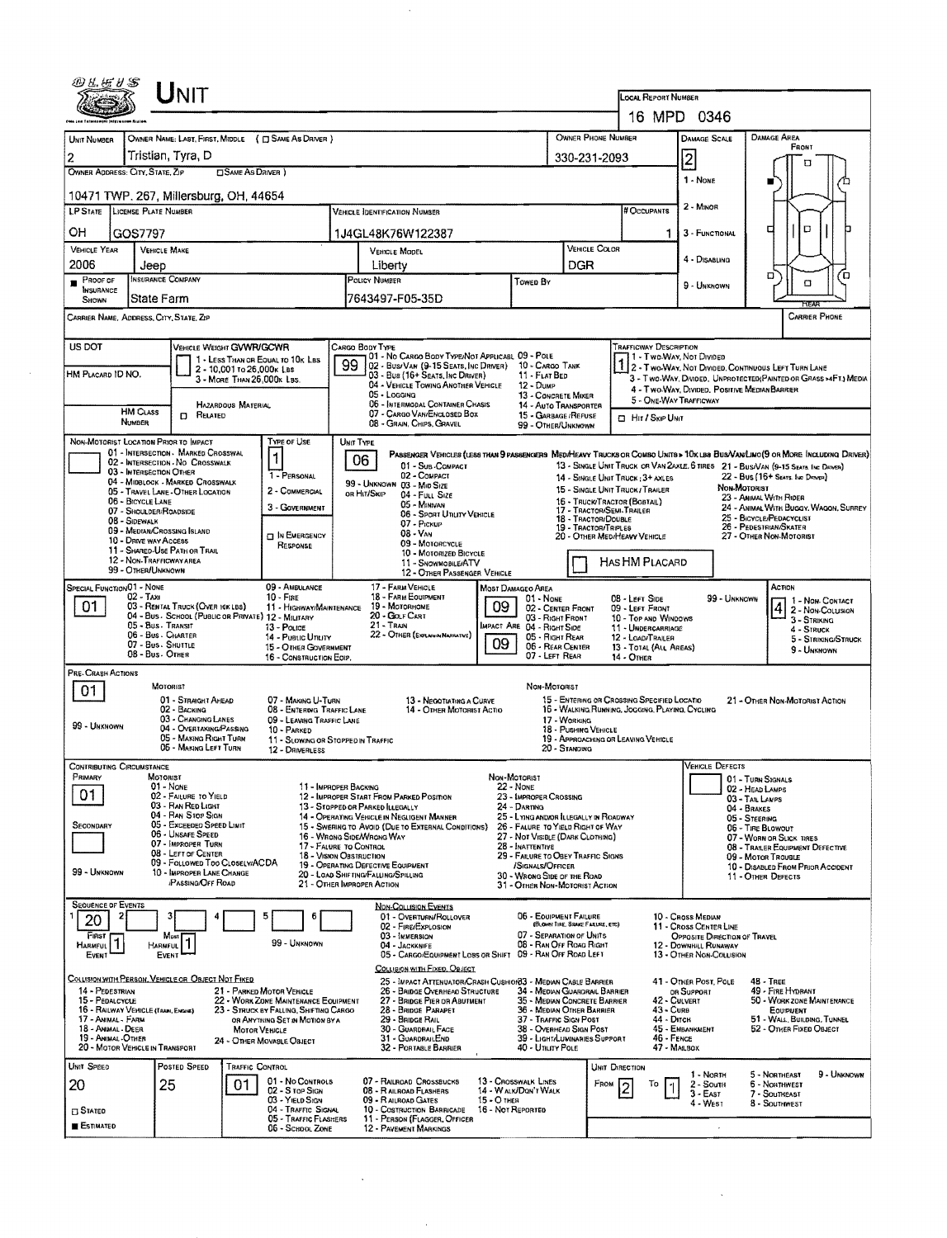|                                                            | Unit                                                                      |                                                                          | LOCAL REPORT NUMBER<br>16 MPD 0346                                                                                                 |                                                                       |                                                               |                                                                                                |                                                                   |                                                                                                                               |  |  |  |  |
|------------------------------------------------------------|---------------------------------------------------------------------------|--------------------------------------------------------------------------|------------------------------------------------------------------------------------------------------------------------------------|-----------------------------------------------------------------------|---------------------------------------------------------------|------------------------------------------------------------------------------------------------|-------------------------------------------------------------------|-------------------------------------------------------------------------------------------------------------------------------|--|--|--|--|
|                                                            |                                                                           |                                                                          |                                                                                                                                    |                                                                       |                                                               |                                                                                                |                                                                   |                                                                                                                               |  |  |  |  |
| UNIT NUMBER                                                | OWNER NAME: LAST, FIRST, MIDDLE ( C SAME AS DRIVER )<br>Tristian, Tyra, D |                                                                          |                                                                                                                                    |                                                                       | OWNER PHONE NUMBER                                            | <b>DAMAGE SCALE</b>                                                                            | <b>DAMAGE AREA</b><br>FRONT                                       |                                                                                                                               |  |  |  |  |
| 2<br>OWNER ADDRESS: CITY, STATE, ZIP                       | <b>CISAME AS DRIVER</b> )                                                 |                                                                          |                                                                                                                                    | $\overline{2}$<br>330-231-2093<br>п                                   |                                                               |                                                                                                |                                                                   |                                                                                                                               |  |  |  |  |
|                                                            | 10471 TWP. 267, Millersburg, OH, 44654                                    |                                                                          |                                                                                                                                    |                                                                       |                                                               |                                                                                                | 1 - None                                                          |                                                                                                                               |  |  |  |  |
| <b>LP STATE</b>                                            | LICENSE PLATE NUMBER                                                      | 2 - MINOR<br># Occupants                                                 |                                                                                                                                    |                                                                       |                                                               |                                                                                                |                                                                   |                                                                                                                               |  |  |  |  |
| OН<br>GOS7797                                              |                                                                           |                                                                          | 1J4GL48K76W122387                                                                                                                  |                                                                       |                                                               |                                                                                                | 3 - FUNCTIONAL<br>1                                               | D<br>с                                                                                                                        |  |  |  |  |
| VEHICLE YEAR                                               | <b>VEHICLE MAKE</b>                                                       |                                                                          | VEHICLE MODEL                                                                                                                      |                                                                       |                                                               | VEHICLE COLOR                                                                                  | 4 - DISABLING                                                     |                                                                                                                               |  |  |  |  |
| 2006<br>Proof of                                           | Jeep<br><b>INSURANCE COMPANY</b>                                          |                                                                          | Liberty<br>POLICY NUMBER                                                                                                           |                                                                       | DGR                                                           |                                                                                                |                                                                   | о<br>70                                                                                                                       |  |  |  |  |
| <b>INSURANCE</b><br>SHOWN                                  | <b>State Farm</b>                                                         |                                                                          | 7643497-F05-35D                                                                                                                    | Towen By                                                              |                                                               |                                                                                                | 9 - UNKNOWN                                                       | O                                                                                                                             |  |  |  |  |
| CARRIER NAME, ADDRESS, CITY, STATE, ZIP                    |                                                                           |                                                                          |                                                                                                                                    |                                                                       |                                                               |                                                                                                |                                                                   | CARRIER PHONE                                                                                                                 |  |  |  |  |
| US DOT                                                     | VEHICLE WEIGHT GVWR/GCWR                                                  |                                                                          | CARGO BODY TYPE                                                                                                                    |                                                                       |                                                               | Trafficway Description                                                                         |                                                                   |                                                                                                                               |  |  |  |  |
| HM PLACARD ID NO.                                          | 2 - 10,001 то 26,000к Las                                                 | 1 - LESS THAN OR EQUAL TO 10K LBS                                        | 01 - No CARGO BODY TYPE/NOT APPLICABL 09 - POLE<br>99<br>02 - Bus/Van (9-15 Seats, Inc Driver)<br>03 - Bus (16+ Seats, Inc Driver) |                                                                       | 10 - CARGO TANK<br>11 - FLAT BED                              |                                                                                                | 11 - Two-Way, Nor Dividen                                         | 2 - Two-Way, Not Divided, Continuous Left Turn Lane                                                                           |  |  |  |  |
|                                                            | 3 - MORE THAN 26.000x LBS.                                                |                                                                          | 04 - VEHICLE TOWING ANOTHER VEHICLE<br>05 - Logging                                                                                | $12 - D$ ump                                                          | 13 - CONCRETE MIXER                                           |                                                                                                | 4 - Two Way, Divided, Positive Median Barrier                     | 3 - Two-WAY, DIVIDED, UNPROTECTED(PAINTED OR GRASS >4FT.) MEDIA                                                               |  |  |  |  |
| <b>HM CLASS</b>                                            | <b>HAZARDOUS MATERIAL</b><br><b>CI RELATED</b>                            |                                                                          | 06 - INTERMODAL CONTAINER CHASIS<br>07 - CARGO VAN/ENCLOSED BOX                                                                    |                                                                       | 14 - Auto Transporter<br>15 - GARBAGE / REFUSE                |                                                                                                | 5 - ONE-WAY TRAFFICWAY                                            |                                                                                                                               |  |  |  |  |
| <b>NUMBER</b>                                              |                                                                           |                                                                          | 08 - GRAIN, CHIPS, GRAVEL                                                                                                          |                                                                       | 99 - OTHER/UNKNOWN                                            | <b>D</b> Hir/SkiPUNT                                                                           |                                                                   |                                                                                                                               |  |  |  |  |
| NON-MOTORIST LOCATION PRIOR TO IMPACT                      | 01 - INTERSECTION - MARKED CROSSWAL                                       | TYPE OF USE<br>1                                                         | UNIT TYPE                                                                                                                          |                                                                       |                                                               |                                                                                                |                                                                   | PASSENGER VEHICLES (LESS THAN 9 PASSENGERS MEDIMEANY TRUCKS OR COMBO UNITS > 10K LBS BUS/VAN/LIMO(9 OR MORE INCLUDING DRIVER) |  |  |  |  |
|                                                            | 02 - INTERSECTION - NO CROSSWALK<br>03 - INTERSECTION OTHER               | 1 - PERSONAL                                                             | 06<br>01 - Sub-COMPACT<br>02 - COMPACT                                                                                             |                                                                       |                                                               | 14 - SINGLE UNIT TRUCK : 3+ AXLES                                                              |                                                                   | 13 - SINGLE UNIT TRUCK OR VAN 2AXLE, 6 TIRES 21 - BUS/VAN (9-15 Spats INC DRIVER)<br>22 - Bus (16+ Sears, Inc Dawen)          |  |  |  |  |
|                                                            | 04 - MIDBLOCK - MARKED CROSSWALK<br>05 - TRAVEL LANE - OTHER LOCATION     | 2 - COMMERCIAL                                                           | 99 - UNKNOWN 03 - MID SIZE<br>OR HIT/SKIP<br>04 - FULL SIZE                                                                        |                                                                       |                                                               | 15 - SINGLE UNIT TRUCK / TRAILER                                                               |                                                                   | Non-Mororusy<br>23 - ANIMAL WITH RIDER                                                                                        |  |  |  |  |
| 06 - BICYCLE LANE<br>08 - SIDEWALK                         | 07 - SHOULDER/ROADSIDE                                                    | 3 - GOVERNMENT                                                           | 05 - MINIVAN<br>06 - Sport Utiuty Vehicle                                                                                          |                                                                       |                                                               | 16 - TRUCK/TRACTOR (BOBTAIL)<br>17 - TRACTOR/SEMI TRAILER<br>18 - TRACTOR/DOUBLE               | 24 - ANIMAL WITH BUGGY, WAGON, SURREY<br>25 - BICYCLE/PEDACYCLIST |                                                                                                                               |  |  |  |  |
| 10 - DRIVE WAY ACCESS                                      | 09 - MEDIAN/CROSSING ISLAND                                               | <b>DIN EMERGENCY</b>                                                     | 07 - PICKUP<br>$08 - V_{AN}$                                                                                                       |                                                                       | 19 - TRACTOR/TRIPLES<br>20 - OTHER MED/HEAVY VEHICLE          |                                                                                                | 26 - PEDESTRIAN/SKATER<br>27 - OTHER NON-MOTORIST                 |                                                                                                                               |  |  |  |  |
|                                                            | 11 - SHARED-USE PATH OR TRAIL<br>12 - NON-TRAFFICWAY AREA                 | RESPONSE                                                                 | 09 - MOTORCYCLE<br>10 - MOTORIZED BICYCLE<br>11 - SnowMobilE/ATV                                                                   |                                                                       |                                                               | HAS HM PLACARD                                                                                 |                                                                   |                                                                                                                               |  |  |  |  |
| 99 - OTHER/UNKNOWN                                         |                                                                           |                                                                          | 12 - OTHER PASSENGER VEHICLE                                                                                                       |                                                                       |                                                               |                                                                                                |                                                                   |                                                                                                                               |  |  |  |  |
| SPECIAL FUNCTION 01 - NONE<br>$02 - Tax1$<br>01            | 03 - RENTAL TRUCK (OVER 10K LBS)                                          | 09 - AMBULANCE<br>$10 -$ FIRE                                            | 17 - FARM VEHICLE<br>18 - FARM EQUIPMENT<br>19 - Мотовноме                                                                         | MOST DAMAGEO AREA<br>01 - NONE                                        | 08 - LEFT SIDE                                                | 99 - Unknown                                                                                   | Асток<br>1 - Non Contact                                          |                                                                                                                               |  |  |  |  |
|                                                            | 04 - Bus - School (Public or Private) 12 - Military<br>05 - Bus - Transit | 11 - HIGHWAY/MAINTENANCE<br>13 - POLICE                                  | 20 - Golf Cart<br>21 - Train                                                                                                       | 09<br>IMPACT ARE 04 - RIGHT SIDE                                      | 02 - CENTER FRONT<br>03 - Right Front                         | 09 - LEFT FRONT<br>10 - Top and Windows                                                        |                                                                   | $4 2$ -Non-Colusion<br>3 - Striking                                                                                           |  |  |  |  |
|                                                            | 06 - Bus - Charter<br>07 - Bus - SHUTTLE                                  | 14 - Pustic Unury<br>15 - OTHER GOVERNMENT                               | 22 - Other (Explanin Nappative)                                                                                                    | 09                                                                    | 05 - Right Rear<br>06 - REAR CENTER                           | 11 - UNDERCARRIAGE<br>12 - LOAD/TRAILER<br>13 - TOTAL (ALL AREAS)                              |                                                                   | 4 - STRUCK<br>5 - STRIKING/STRUCK                                                                                             |  |  |  |  |
|                                                            | 08 - Bus - OTHER                                                          | 16 - CONSTRUCTION EOIP.                                                  |                                                                                                                                    |                                                                       | 07 - LEFT REAR                                                | 14 - Отнея                                                                                     |                                                                   | 9 - Unknown                                                                                                                   |  |  |  |  |
| PRE-CRASH ACTIONS                                          | MOTORIST                                                                  |                                                                          |                                                                                                                                    |                                                                       | NON-MOTORIST                                                  |                                                                                                |                                                                   |                                                                                                                               |  |  |  |  |
| 01                                                         | 01 - STRAIGHT AHEAD<br>02 - BACKING                                       | 07 - MAKING U-TURN<br>08 - ENTERING TRAFFIC LANE                         | 13 - Negotiating a Curve<br>14 - OTHER MOTORIST ACTIO                                                                              |                                                                       |                                                               | 15 - ENTERING OR CROSSING SPECIFIED LOCATIO<br>16 - WALKING RUMNING, JOGGING, PLAYING, CYCLING |                                                                   | 21 - OTHER NON-MOTORIST ACTION                                                                                                |  |  |  |  |
| 99 - Uhknown                                               | 03 - CHANGING LANES<br>04 - OVERTAKING/PASSING                            | 09 - LEAVING TRAFFIC LANE<br>10 - PARKED                                 |                                                                                                                                    |                                                                       | 17 - WORKING<br>18 - Pushing Venicue                          |                                                                                                |                                                                   |                                                                                                                               |  |  |  |  |
|                                                            | 05 - MAKING RIGHT TURN<br>06 - MAKING LEFT TURN                           | 11 - SLOWING OR STOPPED IN TRAFFIC<br>12 - DRIVERLESS                    |                                                                                                                                    |                                                                       | 20 - Standing                                                 | 19 - APPROACHING OR LEAVING VEHICLE                                                            |                                                                   |                                                                                                                               |  |  |  |  |
| <b>CONTRIBUTING CIRCUMSTANCE</b>                           |                                                                           |                                                                          |                                                                                                                                    |                                                                       |                                                               |                                                                                                | VEHICLE DEFECTS                                                   |                                                                                                                               |  |  |  |  |
| PRIMARY<br>01                                              | MOTORIST<br>01 - None<br>02 - FAILURE TO YIELD                            |                                                                          | 11 - IMPROPER BACKING<br>12 - IMPROPER START FROM PARKED POSITION                                                                  | NON-MOTORIST<br>$22 - None$                                           | 23 - IMPROPER CROSSING                                        |                                                                                                | 01 - TURN SIGNALS<br>02 - HEAD LAMPS                              |                                                                                                                               |  |  |  |  |
|                                                            | 03 - RAN RED LIGHT<br>04 - RAN STOP SIGN                                  |                                                                          | 13 - STOPPED OR PARKED ILLEGALLY<br>14 - OPERATING VEHICLE IN NEGLIGENT MANNER                                                     | 24 - DARTING                                                          | 25 - LYING AND/OR ILLEGALLY IN ROADWAY                        | 03 - TAIL LAMPS<br>04 - BRAKES                                                                 |                                                                   |                                                                                                                               |  |  |  |  |
| SECONDARY                                                  | 05 - Excreped Speed Limit<br>06 - UNSAFE SPEED                            |                                                                          | 15 - Swering to Avoid (Due to External Conditions)<br>16 - Wrong Side/Wrong Way                                                    | 26 - FALURE TO YIELD RIGHT OF WAY<br>27 - NOT VISIBLE (DARK CLOTHING) |                                                               | 05 - STEERING<br>06 - TIRE BLOWOUT                                                             |                                                                   |                                                                                                                               |  |  |  |  |
|                                                            | 07 - IMPROPER TURN<br>08 - LEFT OF CENTER                                 |                                                                          | 17 - FALURE TO CONTROL<br><b>18 - VISION OBSTRUCTION</b>                                                                           | 28 - INATTENTIVE<br>29 - FAILURE TO OBEY TRAFFIC SIGNS                |                                                               | 07 - WORN OR SLICK TIRES<br>08 - TRAILER EQUIPMENT DEFECTIVE<br>09 - Motor TrousLE             |                                                                   |                                                                                                                               |  |  |  |  |
| 99 - Unknown                                               | 09 - FOLLOWED TOO CLOSELV/ACDA<br>10 - IMPROPER LANE CHANGE               |                                                                          | 19 - OPERATING DEFECTIVE EQUIPMENT<br>20 - LOAD SHIFTING/FALLING/SPILLING                                                          | /SIGNALS/OFFICER<br>30 - WRONG SIDE OF THE ROAD                       |                                                               |                                                                                                | 10 - DISABLED FROM PRIOR ACCIDENT<br>11 - OTHER DEFECTS           |                                                                                                                               |  |  |  |  |
|                                                            | <b>PASSING/OFF ROAD</b>                                                   |                                                                          | 21 - OTHER IMPROPER ACTION                                                                                                         |                                                                       | 31 - OTHER NON-MOTORIST ACTION                                |                                                                                                |                                                                   |                                                                                                                               |  |  |  |  |
| <b>SEQUENCE OF EVENTS</b><br>20                            | 3                                                                         | 6                                                                        | <b>NON-COLLISION EVENTS</b><br>01 - Overturn/Rollover                                                                              |                                                                       | 06 - EQUIPMENT FAILURE                                        |                                                                                                | 10 - Cross Median                                                 |                                                                                                                               |  |  |  |  |
| FIRST                                                      | Must                                                                      |                                                                          | 02 - FIRE/EXPLOSION<br>03 - IMMERSION                                                                                              |                                                                       | (BLOWN TIRE, SRAKE FARLES, ETC)<br>07 - SEPARATION OF UNITS   |                                                                                                | 11 - Cross CENTER LINE<br>OPPOSITE DIRECTION OF TRAVEL            |                                                                                                                               |  |  |  |  |
| <b>MARMFUL</b><br>EVENT                                    | HARMFUL<br>EVENT                                                          | 99 - UNKNOWN                                                             | 04 - JACKKNIFE<br>05 - CARGO/EQUIPMENT LOBS OR SHIFT 09 - RAN OFF ROAD LEFT                                                        |                                                                       | 08 - RAN OFF ROAD RIGHT                                       |                                                                                                | 12 - DOWNHILL RUNAWAY<br>13 - OTHER NON-COLLISION                 |                                                                                                                               |  |  |  |  |
|                                                            | COLLISION WITH PERSON, VEHICLE OR OBJECT NOT FIKED                        |                                                                          | COLLISION WITH FIXED, OBJECT<br>25 - IMPACT ATTENUATOR/CRASH CUSHION33 - MEDIAN CABLE BARRIER                                      |                                                                       |                                                               |                                                                                                | 41 - OTHER POST, POLE                                             | <b>48 - TREE</b>                                                                                                              |  |  |  |  |
| 14 - PEDESTRIAN<br>15 - PEDALCYCLE                         |                                                                           | 21 - PARKED MOTOR VEHICLE<br>22 - WORK ZONE MAINTENANCE EQUIPMENT        | 26 - BRIDGE OVERHEAD STRUCTURE<br>27 - BRIDGE PIER OR ABUTMENT                                                                     |                                                                       | 34 - MEDIAN GUARDRAIL BARRIER<br>35 - Median Concrete Barrier |                                                                                                | OR SUPPORT<br>42 - CULVERT                                        | 49 - FIRE HYDRANT<br>50 - WORK ZONE MAINTENANCE                                                                               |  |  |  |  |
| 16 - RAILWAY VEHICLE (TRAN), ENGINE)<br>17 - ANIMAL - FARM |                                                                           | 23 - STRUCK BY FALLING, SHIFTING CARGO<br>OR ANYTHING SET IN MOTION BY A | 28 - BRIDGE PARAPET<br>29 - BRIDGE RAIL                                                                                            |                                                                       | 36 - MEDIAN OTHER BARRIER<br>37 - TRAFFIC SIGN POST           |                                                                                                | 43 - Curs<br>44 - Олск                                            | EQUIPMENT<br>51 - WALL, BUILDING, TUNNEL                                                                                      |  |  |  |  |
| 18 - ANIMAL DEER<br>19 - ANIMAL - OTHER                    |                                                                           | <b>MOTOR VEHICLE</b><br>24 - OTHER MOVABLE OBJECT                        | 30 - GUARDRAIL FACE<br>31 - GUARDRAILEND                                                                                           |                                                                       | 38 - OVERHEAD SIGN POST<br>39 - LIGHT/LUMINARIES SUPPORT      |                                                                                                | 45 - EMBANKMENT<br>46 - FENCE                                     | 52 - OTHER FIXED OBJECT                                                                                                       |  |  |  |  |
| 20 - MOTOR VEHICLE IN TRANSPORT<br>Unit Speed              | POSTED SPEED                                                              | TRAFFIC CONTROL                                                          | 32 - PORTABLE BARRIER                                                                                                              |                                                                       | 40 - Unury Pole                                               | UNIT DIRECTION                                                                                 | 47 - MAILBOX                                                      |                                                                                                                               |  |  |  |  |
| 20                                                         | 25<br>01                                                                  | 01 - No CONTROLS                                                         | 07 - RAILROAD CROSSBUCKS                                                                                                           | 13 - Crosswalk Lines                                                  |                                                               | FROM<br>То                                                                                     | 1 - North<br>$2 -$ South                                          | 5 - NORTHEAST<br>9 - UNKNOWN<br>6 - Northwest                                                                                 |  |  |  |  |
|                                                            |                                                                           | 02 - S TOP SIGN<br>03 - YIELD SIGN<br>04 - TRAFFIC SIGNAL                | 08 - R AILROAD FLASHERS<br>09 - RALROAD GATES<br>10 - COSTRUCTION BARRICADE                                                        | 14 - WALK/DON'T WALK<br>15 - О тнея<br>16 - Not Reported              |                                                               |                                                                                                | $3 - E$ AST<br>4 - West                                           | 7 - Southeast<br>8 - Southwest                                                                                                |  |  |  |  |
| <b>C</b> Stated<br><b>E</b> Estimated                      |                                                                           | 05 - TRAFFIC FLASHERS<br>06 - SCHOOL ZONE                                | 11 - PERSON (FLAGGER, OFFICER<br>12 - PAVEMENT MARKINGS                                                                            |                                                                       |                                                               |                                                                                                |                                                                   |                                                                                                                               |  |  |  |  |
|                                                            |                                                                           |                                                                          |                                                                                                                                    |                                                                       |                                                               |                                                                                                |                                                                   |                                                                                                                               |  |  |  |  |

 $\hat{\mathcal{A}}$ 

 $\sim$   $\sim$ 

 $\mathcal{L}^{(1)}$ 

 $\sim 10^6$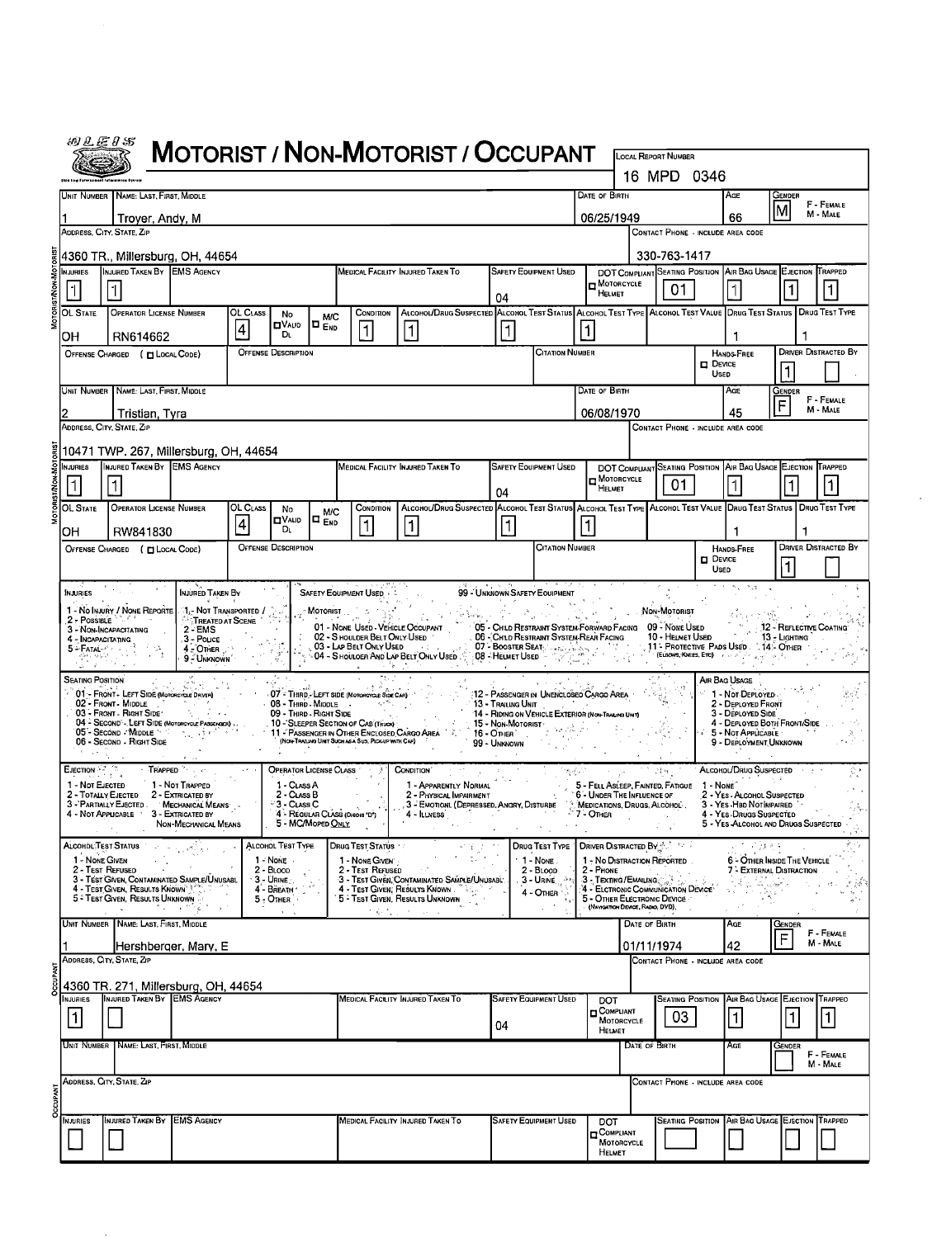|                                                                                                                                                                                                                      | 初汇运》55                                                                                                                                                                                                                                                                                                                                      |                                                                                                                                                                                                                                    |                                                  |          |                                                                                                               |                                 |                                                                                                   | MOTORIST / NON-MOTORIST / OCCUPANT                                                                                                                                                                                                                                              |                                                    |                                                                                                                                                                            |                                                                  |                                   | <b>LOCAL REPORT NUMBER</b>                                    |                                 |                                                                                                              |                         |                             |  |  |
|----------------------------------------------------------------------------------------------------------------------------------------------------------------------------------------------------------------------|---------------------------------------------------------------------------------------------------------------------------------------------------------------------------------------------------------------------------------------------------------------------------------------------------------------------------------------------|------------------------------------------------------------------------------------------------------------------------------------------------------------------------------------------------------------------------------------|--------------------------------------------------|----------|---------------------------------------------------------------------------------------------------------------|---------------------------------|---------------------------------------------------------------------------------------------------|---------------------------------------------------------------------------------------------------------------------------------------------------------------------------------------------------------------------------------------------------------------------------------|----------------------------------------------------|----------------------------------------------------------------------------------------------------------------------------------------------------------------------------|------------------------------------------------------------------|-----------------------------------|---------------------------------------------------------------|---------------------------------|--------------------------------------------------------------------------------------------------------------|-------------------------|-----------------------------|--|--|
|                                                                                                                                                                                                                      |                                                                                                                                                                                                                                                                                                                                             |                                                                                                                                                                                                                                    |                                                  |          |                                                                                                               |                                 |                                                                                                   |                                                                                                                                                                                                                                                                                 |                                                    |                                                                                                                                                                            |                                                                  |                                   | 16 MPD 0346                                                   |                                 |                                                                                                              |                         |                             |  |  |
|                                                                                                                                                                                                                      | DATE OF BIRTH<br>UNIT NUMBER NAME: LAST, FIRST, MIDDLE                                                                                                                                                                                                                                                                                      |                                                                                                                                                                                                                                    |                                                  |          |                                                                                                               |                                 |                                                                                                   |                                                                                                                                                                                                                                                                                 |                                                    |                                                                                                                                                                            |                                                                  |                                   |                                                               |                                 | Age                                                                                                          | Gender                  |                             |  |  |
|                                                                                                                                                                                                                      |                                                                                                                                                                                                                                                                                                                                             | Troyer, Andy, M                                                                                                                                                                                                                    |                                                  |          |                                                                                                               |                                 |                                                                                                   |                                                                                                                                                                                                                                                                                 |                                                    |                                                                                                                                                                            | M<br>06/25/1949<br>66                                            |                                   |                                                               |                                 |                                                                                                              |                         | F - FEMALE<br>M - MALE      |  |  |
|                                                                                                                                                                                                                      |                                                                                                                                                                                                                                                                                                                                             | ADDRESS, CITY, STATE, ZIP                                                                                                                                                                                                          |                                                  |          |                                                                                                               |                                 |                                                                                                   |                                                                                                                                                                                                                                                                                 |                                                    |                                                                                                                                                                            |                                                                  | CONTACT PHONE - INCLUDE AREA CODE |                                                               |                                 |                                                                                                              |                         |                             |  |  |
| 330-763-1417<br>4360 TR., Millersburg, OH, 44654                                                                                                                                                                     |                                                                                                                                                                                                                                                                                                                                             |                                                                                                                                                                                                                                    |                                                  |          |                                                                                                               |                                 |                                                                                                   |                                                                                                                                                                                                                                                                                 |                                                    |                                                                                                                                                                            |                                                                  |                                   |                                                               |                                 |                                                                                                              |                         |                             |  |  |
|                                                                                                                                                                                                                      | <b>NJURIES</b>                                                                                                                                                                                                                                                                                                                              | INJURED TAKEN BY EMS AGENCY                                                                                                                                                                                                        |                                                  |          |                                                                                                               |                                 | MEDICAL FACILITY INJURED TAKEN TO                                                                 | <b>SAFETY EQUIPMENT USED</b>                                                                                                                                                                                                                                                    | $\Box$ MOTORCYCLE                                  |                                                                                                                                                                            | DOT COMPLIANT SEATING POSITION AIR BAG USAGE EJECTION TRAPPED    |                                   |                                                               |                                 |                                                                                                              |                         |                             |  |  |
|                                                                                                                                                                                                                      | $\mathbf{1}$                                                                                                                                                                                                                                                                                                                                | 04                                                                                                                                                                                                                                 |                                                  |          |                                                                                                               |                                 |                                                                                                   |                                                                                                                                                                                                                                                                                 |                                                    |                                                                                                                                                                            |                                                                  | Немет                             | 01                                                            |                                 |                                                                                                              |                         | 1                           |  |  |
|                                                                                                                                                                                                                      | OL State                                                                                                                                                                                                                                                                                                                                    | ALCOHOL/DRUG SUSPECTED ALCOHOL TEST STATUS ALCOHOL TEST TYPE ALCOHOL TEST VALUE DRUG TEST STATUS DRUG TEST TYPE<br>OL CLASS<br>CONDITION<br><b>OPERATOR LICENSE NUMBER</b><br>No<br><b>M/C</b><br><b>OVAUD</b><br>O <sub>End</sub> |                                                  |          |                                                                                                               |                                 |                                                                                                   |                                                                                                                                                                                                                                                                                 |                                                    |                                                                                                                                                                            |                                                                  |                                   |                                                               |                                 |                                                                                                              |                         |                             |  |  |
|                                                                                                                                                                                                                      | он                                                                                                                                                                                                                                                                                                                                          | RN614662                                                                                                                                                                                                                           |                                                  | 4        | Dı.                                                                                                           |                                 | $\mathbf{1}$                                                                                      | $\vert$ 1                                                                                                                                                                                                                                                                       | 1                                                  |                                                                                                                                                                            | 1                                                                |                                   |                                                               |                                 | ٦.                                                                                                           | 1                       |                             |  |  |
|                                                                                                                                                                                                                      |                                                                                                                                                                                                                                                                                                                                             | OFFENSE CHARGED ( EL LOCAL CODE)                                                                                                                                                                                                   |                                                  |          | <b>OFFENSE DESCRIPTION</b>                                                                                    |                                 |                                                                                                   |                                                                                                                                                                                                                                                                                 |                                                    | <b>CITATION NUMBER</b>                                                                                                                                                     |                                                                  |                                   |                                                               | $\square$ Device<br><b>Usep</b> | <b>HANDS-FREE</b>                                                                                            | 1                       | <b>DRIVER DISTRACTED BY</b> |  |  |
|                                                                                                                                                                                                                      |                                                                                                                                                                                                                                                                                                                                             | Unit Number   Name: Last, First, Middle                                                                                                                                                                                            |                                                  |          |                                                                                                               |                                 |                                                                                                   |                                                                                                                                                                                                                                                                                 |                                                    |                                                                                                                                                                            | DATE OF BIRTH                                                    |                                   |                                                               |                                 | AGE                                                                                                          | Gender                  |                             |  |  |
|                                                                                                                                                                                                                      |                                                                                                                                                                                                                                                                                                                                             | Tristian, Tyra                                                                                                                                                                                                                     |                                                  |          |                                                                                                               |                                 |                                                                                                   |                                                                                                                                                                                                                                                                                 |                                                    |                                                                                                                                                                            | 06/08/1970                                                       |                                   |                                                               |                                 | 45                                                                                                           | F - FEMALE<br>M - MALE  |                             |  |  |
|                                                                                                                                                                                                                      |                                                                                                                                                                                                                                                                                                                                             | ADDRESS, CITY, STATE, ZIP                                                                                                                                                                                                          |                                                  |          |                                                                                                               |                                 |                                                                                                   |                                                                                                                                                                                                                                                                                 |                                                    |                                                                                                                                                                            |                                                                  |                                   | CONTACT PHONE - INCLUDE AREA CODE                             |                                 |                                                                                                              |                         |                             |  |  |
|                                                                                                                                                                                                                      |                                                                                                                                                                                                                                                                                                                                             | 10471 TWP. 267, Millersburg, OH, 44654                                                                                                                                                                                             |                                                  |          |                                                                                                               |                                 |                                                                                                   |                                                                                                                                                                                                                                                                                 |                                                    |                                                                                                                                                                            |                                                                  |                                   |                                                               |                                 |                                                                                                              |                         |                             |  |  |
|                                                                                                                                                                                                                      | <b>NJURIES</b>                                                                                                                                                                                                                                                                                                                              | INJURED TAKEN BY EMS AGENCY                                                                                                                                                                                                        |                                                  |          |                                                                                                               |                                 |                                                                                                   | MEDICAL FACILITY INJURED TAKEN TO                                                                                                                                                                                                                                               | SAFETY EQUIPMENT USED<br>$\blacksquare$ Motorcycle |                                                                                                                                                                            |                                                                  |                                   | DOT COMPLIANT SEATING POSITION AIR BAG USAGE EJECTION TRAPPED |                                 |                                                                                                              |                         |                             |  |  |
|                                                                                                                                                                                                                      |                                                                                                                                                                                                                                                                                                                                             |                                                                                                                                                                                                                                    |                                                  |          |                                                                                                               |                                 |                                                                                                   |                                                                                                                                                                                                                                                                                 | 04                                                 |                                                                                                                                                                            | HELMET                                                           |                                   | 01                                                            |                                 |                                                                                                              |                         | 1                           |  |  |
|                                                                                                                                                                                                                      | OL State                                                                                                                                                                                                                                                                                                                                    | OPERATOR LICENSE NUMBER                                                                                                                                                                                                            |                                                  | OL CLASS | No<br>$\blacksquare$ VALID                                                                                    | <b>M/C</b><br>I¤ <sub>End</sub> | CONDITION                                                                                         | ALCOHOL/DRUG SUSPECTED ALCOHOL TEST STATUS ALCOHOL TEST TYPE ALCOHOL TEST VALUE DRUG TEST STATUS                                                                                                                                                                                |                                                    |                                                                                                                                                                            |                                                                  |                                   |                                                               |                                 |                                                                                                              |                         | DRUG TEST TYPE              |  |  |
|                                                                                                                                                                                                                      | OН                                                                                                                                                                                                                                                                                                                                          | RW841830                                                                                                                                                                                                                           |                                                  | 4        | Dι                                                                                                            |                                 |                                                                                                   | 1                                                                                                                                                                                                                                                                               | 1                                                  |                                                                                                                                                                            |                                                                  |                                   |                                                               |                                 | -1                                                                                                           | 1                       |                             |  |  |
| <b>CITATION NUMBER</b><br><b>OFFENSE DESCRIPTION</b><br>OFFENSE CHARGED ( [ LOCAL CODE)                                                                                                                              |                                                                                                                                                                                                                                                                                                                                             |                                                                                                                                                                                                                                    |                                                  |          |                                                                                                               |                                 |                                                                                                   |                                                                                                                                                                                                                                                                                 |                                                    | HANDS-FREE<br>$\blacksquare$ Device                                                                                                                                        |                                                                  |                                   |                                                               |                                 | DRIVER DISTRACTED BY                                                                                         |                         |                             |  |  |
|                                                                                                                                                                                                                      |                                                                                                                                                                                                                                                                                                                                             |                                                                                                                                                                                                                                    |                                                  |          |                                                                                                               |                                 |                                                                                                   |                                                                                                                                                                                                                                                                                 |                                                    |                                                                                                                                                                            |                                                                  |                                   |                                                               | Used                            | -7.3                                                                                                         |                         |                             |  |  |
|                                                                                                                                                                                                                      | <b>INJURIES</b>                                                                                                                                                                                                                                                                                                                             | 1 - No Injury / None Reporte                                                                                                                                                                                                       | INJURED TAKEN BY<br>1.- NOT TRANSPORTED /        |          |                                                                                                               |                                 | SAFETY EQUIPMENT USED + 5                                                                         |                                                                                                                                                                                                                                                                                 | 99 - Unknown Safety Equipment                      |                                                                                                                                                                            |                                                                  |                                   | Non-Motorist                                                  |                                 |                                                                                                              |                         |                             |  |  |
|                                                                                                                                                                                                                      | 2 - Possible                                                                                                                                                                                                                                                                                                                                | 3 - NON-INCAPACITATING                                                                                                                                                                                                             | <b>TREATED AT SCENE</b><br>$2 - EMS$             |          |                                                                                                               |                                 | $M$ otorist $\frac{1}{2}$<br>一适效了。                                                                | 01 - NONE USED - VEHICLE OCCUPANT                                                                                                                                                                                                                                               |                                                    | 1999년 - 대한민국의 1999년 - 1999년 - 1999년 - 1999년 - 1999년 - 1999년 - 1999년 - 1999년 - 1999년 - 1999년 - 1999년 - 1999년 -<br>05 - CHILD RESTRAINT SYSTEM FORWARD FACING 09 - NONE USED |                                                                  |                                   |                                                               |                                 |                                                                                                              | 12 - REFLECTIVE COATING |                             |  |  |
|                                                                                                                                                                                                                      | 4 - Incapacitating<br>5 - Fatal - Singham<br>$\frac{\partial \mathcal{L} \partial \mathcal{H}}{\partial \mathcal{L}} = \frac{\partial \mathcal{L} \left( \mathcal{L} \right) \mathcal{L}^{\mathcal{L}} \mathcal{L}^{\mathcal{L}}}{\partial \mathcal{L}^{\mathcal{L}} \mathcal{L}^{\mathcal{L}} \mathcal{L}^{\mathcal{L}}}, \label{eq:loss}$ |                                                                                                                                                                                                                                    | .3 - Pouce<br>$4 \times$ OTHER $\longrightarrow$ |          |                                                                                                               |                                 | <b>Q3 - LAP BELT ONLY USED All Set 10</b>                                                         | 01 - NONE WORK TENNEL TONEY USED<br>$\frac{1}{2}$ OS - LAD BELT ONLY USED<br>$\frac{1}{2}$ OS - LAD BELT ONLY USED<br>$\frac{1}{2}$ OS - LAD BELT ONLY USED<br>$\frac{1}{2}$ OR - Shoulder And Lot Belt ONLY Used $\frac{1}{2}$ (R) - Helmet Used $\frac{1}{2}$ ( $\frac{1}{2}$ |                                                    | . 06 - CHILD RESTRAINT SYSTEM-REAR FACING                                                                                                                                  |                                                                  |                                   | 10 - HELMET USED                                              |                                 | , 11 <sup>-</sup> Protective Pads Used [14]- Other<br><b>(ELSOWS, KNEES, ETC)</b> For an anti-stage property | 13 - Lighting           |                             |  |  |
|                                                                                                                                                                                                                      |                                                                                                                                                                                                                                                                                                                                             |                                                                                                                                                                                                                                    | 9 - UNKNOWN                                      |          |                                                                                                               |                                 |                                                                                                   | i i britan                                                                                                                                                                                                                                                                      |                                                    |                                                                                                                                                                            |                                                                  |                                   |                                                               |                                 |                                                                                                              |                         |                             |  |  |
|                                                                                                                                                                                                                      | <b>SEATING POSITION</b>                                                                                                                                                                                                                                                                                                                     | 01 - FRONT - LEFT SIDE (MoroRcycle DRIVER)                                                                                                                                                                                         |                                                  |          |                                                                                                               |                                 | O7 - THIRD - LEFT SIDE (MOTORCYCLE SIDE CAR)                                                      |                                                                                                                                                                                                                                                                                 |                                                    | 12 - Passenger in Unencloseo Cargo Area                                                                                                                                    |                                                                  |                                   |                                                               |                                 | AIR BAG USAGE<br>1 - NOT DEPLOYED                                                                            |                         |                             |  |  |
|                                                                                                                                                                                                                      |                                                                                                                                                                                                                                                                                                                                             | 02 - Front - Middle<br>03 - FRONT - RIGHT SIDE '<br>04 - SECOND - LEFT SIDE (MOTORCYCLE PASSEMEN)                                                                                                                                  | たいて                                              |          | 08 - Third - Middle<br>09 - THIRD - RIGHT SIDE                                                                |                                 | क्षित है।<br>10 - SLEEPER SECTION OF CAB (TRUCK)                                                  |                                                                                                                                                                                                                                                                                 | 13 - Trailing Unit<br>15 - Non-Motorist            | 14 - RIDING ON VEHICLE EXTERIOR (NO+TRALING UNT)                                                                                                                           |                                                                  |                                   |                                                               |                                 | 2 - DEPLOYED FRONT<br>3 - DEPLOYED SIDE<br>4 - DEPLOYED BOTH FRONT/SIDE                                      |                         |                             |  |  |
|                                                                                                                                                                                                                      |                                                                                                                                                                                                                                                                                                                                             | 05"- Second - Middle > Control of Party<br>06 - Second - Right Side                                                                                                                                                                |                                                  |          |                                                                                                               |                                 | 11 - PASSENGER IN OTHER ENCLOSED CARGO AREA<br>(NON-TRAILING UNIT SUCH AS A SUS, PICKUP WITH CAP) |                                                                                                                                                                                                                                                                                 | $16 -$ Other<br>99 - Unknown                       |                                                                                                                                                                            |                                                                  |                                   |                                                               |                                 | 5 - Not Applicable<br>9 - DEPLOYMENT UNKNOWN                                                                 |                         |                             |  |  |
|                                                                                                                                                                                                                      |                                                                                                                                                                                                                                                                                                                                             |                                                                                                                                                                                                                                    |                                                  |          |                                                                                                               |                                 |                                                                                                   |                                                                                                                                                                                                                                                                                 |                                                    |                                                                                                                                                                            |                                                                  |                                   |                                                               |                                 |                                                                                                              |                         |                             |  |  |
|                                                                                                                                                                                                                      | $\mathsf{E}$ Jection $\mathbb{R}^2 \subset \mathbb{R}$<br>1 - Not EJECTED                                                                                                                                                                                                                                                                   |                                                                                                                                                                                                                                    | TRAPPED<br>1 - Not Trapped                       |          | OPERATOR LICENSE CLASS<br>1 - CLASS A                                                                         |                                 |                                                                                                   | Соноглон (<br>1 - Apparently Normal                                                                                                                                                                                                                                             |                                                    |                                                                                                                                                                            | 5 - FELL ASLEEP, FAINTED, FATIGUE                                |                                   |                                                               | $1 - None^{\circ}$              | ALCOHOL/DRUG SUSPECTED                                                                                       |                         |                             |  |  |
|                                                                                                                                                                                                                      |                                                                                                                                                                                                                                                                                                                                             | 2 - TOTALLY EJECTED<br>3 - PARTIALLY EJECTED. MECHANICAL MEANS                                                                                                                                                                     | 2 - EXTRICATED BY                                |          | 2 - CLASS B<br><sup>∴</sup> 3 - C⊔Ass C                                                                       |                                 |                                                                                                   | 2 - PHYSICAL IMPAIRMENT<br>3 - EMOTIONI. (DEPRESSED, ANGRY, DISTURBE MEDICATIONS, DRUGS, ALCOHOL:                                                                                                                                                                               |                                                    |                                                                                                                                                                            | 6 - UNDER THE INFLUENCE OF                                       |                                   |                                                               |                                 | 2 - YES - ALCOHOL SUSPECTED<br>3 - YES-HBD NOTIMPAIRED                                                       |                         |                             |  |  |
|                                                                                                                                                                                                                      |                                                                                                                                                                                                                                                                                                                                             | 4 - Not Applicable                                                                                                                                                                                                                 | 3 - EXTRICATED BY<br>NON-MECHANICAL MEANS        |          | 5 - MC/Moped ONLY                                                                                             |                                 | 4 - REGULAR CLASS (OHOIS D')                                                                      | 4 - ILLNESS                                                                                                                                                                                                                                                                     | $\sim$                                             |                                                                                                                                                                            | $-7 -$ OTHER                                                     |                                   |                                                               |                                 | 4 - YES DRUGS SUSPECTED<br>5 - YES ALCOHOL AND DRUGS SUSPECTED                                               |                         |                             |  |  |
|                                                                                                                                                                                                                      | Alcohol Test Status                                                                                                                                                                                                                                                                                                                         |                                                                                                                                                                                                                                    | والمراكض والمتعارف                               |          | ALCOHOL TEST TYPE                                                                                             |                                 | <b>DRUG TEST STATUS</b>                                                                           | 可发达的                                                                                                                                                                                                                                                                            |                                                    | <b>DRUG TEST TYPE   DRIVER DISTRACTED BY A STATE</b>                                                                                                                       |                                                                  |                                   |                                                               |                                 | 医克氏糖酸盐                                                                                                       | $\sim$                  |                             |  |  |
|                                                                                                                                                                                                                      | 1 - NONE GIVEN                                                                                                                                                                                                                                                                                                                              | 2 - Test Refused                                                                                                                                                                                                                   |                                                  |          | 1 - None<br>$2 - B$ LOOD                                                                                      |                                 | 1 - NONE GIVEN<br>2 - Test Refused                                                                |                                                                                                                                                                                                                                                                                 |                                                    | $\cdot$ 1 - None.<br>$2 - B$ LOOD                                                                                                                                          | 1 - No DISTRACTION REPORTED<br>2 - Phone<br>3 - Texting/Emailing |                                   |                                                               |                                 | 6 - OTHER INSIDE THE VEHICLE<br>7 <sup>2</sup> EXTERNAL DISTRACTION                                          |                         |                             |  |  |
|                                                                                                                                                                                                                      |                                                                                                                                                                                                                                                                                                                                             | 3 - TEST GIVEN, CONTAMINATED SAMPLE/UNUSABL<br>4 - Test Given, Results Known                                                                                                                                                       |                                                  |          | $\overline{3}$ - Urine $\overline{4}$ - Breath $\overline{4}$ - Breath $\overline{4}$ - Breath $\overline{4}$ |                                 |                                                                                                   | 3 - TEST GIVEN, CONTAMINATED SAMPLE/UNUSABL<br>4 - Test Given: Results Known                                                                                                                                                                                                    |                                                    | 3 - URINE  **<br>$4 -$ Omen $\rightarrow$                                                                                                                                  | 4 - ELCTRONIC COMMUNICATION DEVICE                               |                                   |                                                               |                                 |                                                                                                              |                         | 25<br>ed                    |  |  |
|                                                                                                                                                                                                                      | 5 - Test Given, Results Unknown<br>5 - OTHER ELECTRONIC DEVICE<br>$5 -$ OTHER<br>$\sim$<br>(NAVIGATION DEVICE, RADIO, DVD),<br>in Norwegia (1978)<br>$\sim 10^{-11}$<br>$\epsilon_{\rm{eff}}\epsilon_{\rm{eff}}\rightarrow\epsilon_{\rm{eff}}$ .                                                                                            |                                                                                                                                                                                                                                    |                                                  |          |                                                                                                               |                                 |                                                                                                   |                                                                                                                                                                                                                                                                                 |                                                    |                                                                                                                                                                            |                                                                  |                                   |                                                               |                                 |                                                                                                              |                         |                             |  |  |
| UNIT NUMBER NAME: LAST, FIRST, MIDDLE<br>DATE OF BIRTH<br>AGE<br>GENDER<br>F - FEMALE<br>F<br>M - MALE<br>42<br>Hershberger, Mary, E<br>01/11/1974<br>ADDRESS, CITY, STATE, ZIP<br>CONTACT PHONE - INCLUDE AREA CODE |                                                                                                                                                                                                                                                                                                                                             |                                                                                                                                                                                                                                    |                                                  |          |                                                                                                               |                                 |                                                                                                   |                                                                                                                                                                                                                                                                                 |                                                    |                                                                                                                                                                            |                                                                  |                                   |                                                               |                                 |                                                                                                              |                         |                             |  |  |
|                                                                                                                                                                                                                      |                                                                                                                                                                                                                                                                                                                                             |                                                                                                                                                                                                                                    |                                                  |          |                                                                                                               |                                 |                                                                                                   |                                                                                                                                                                                                                                                                                 |                                                    |                                                                                                                                                                            |                                                                  |                                   |                                                               |                                 |                                                                                                              |                         |                             |  |  |
| 4360 TR. 271, Millersburg, OH, 44654                                                                                                                                                                                 |                                                                                                                                                                                                                                                                                                                                             |                                                                                                                                                                                                                                    |                                                  |          |                                                                                                               |                                 |                                                                                                   |                                                                                                                                                                                                                                                                                 |                                                    |                                                                                                                                                                            |                                                                  |                                   |                                                               |                                 |                                                                                                              |                         |                             |  |  |
|                                                                                                                                                                                                                      | INJURIES                                                                                                                                                                                                                                                                                                                                    | INJURED TAKEN BY EMS AGENCY                                                                                                                                                                                                        |                                                  |          |                                                                                                               |                                 |                                                                                                   | MEDICAL FACILITY INJURED TAKEN TO                                                                                                                                                                                                                                               |                                                    | <b>SAFETY EQUIPMENT USED</b>                                                                                                                                               | <b>DOT</b>                                                       |                                   |                                                               |                                 | Seating Position Air Bag Usage Ejection Trapped                                                              |                         |                             |  |  |
| <b>D</b> COMPLIANT<br>MOTORCYCLE<br>$\vert$ 1 $\vert$<br>$\lfloor 1 \rfloor$<br>03<br>04<br>HELMET                                                                                                                   |                                                                                                                                                                                                                                                                                                                                             |                                                                                                                                                                                                                                    |                                                  |          |                                                                                                               |                                 |                                                                                                   |                                                                                                                                                                                                                                                                                 |                                                    | $\vert$                                                                                                                                                                    | 1                                                                |                                   |                                                               |                                 |                                                                                                              |                         |                             |  |  |
|                                                                                                                                                                                                                      |                                                                                                                                                                                                                                                                                                                                             | Unit Number   Name: Last, First, Middle                                                                                                                                                                                            |                                                  |          |                                                                                                               |                                 |                                                                                                   |                                                                                                                                                                                                                                                                                 |                                                    |                                                                                                                                                                            |                                                                  | DATE OF BIRTH                     |                                                               |                                 | AGE                                                                                                          | Gender                  | F - FEMALE                  |  |  |
|                                                                                                                                                                                                                      |                                                                                                                                                                                                                                                                                                                                             |                                                                                                                                                                                                                                    |                                                  |          |                                                                                                               |                                 |                                                                                                   |                                                                                                                                                                                                                                                                                 |                                                    |                                                                                                                                                                            |                                                                  |                                   |                                                               |                                 |                                                                                                              |                         | M - MALE                    |  |  |
|                                                                                                                                                                                                                      |                                                                                                                                                                                                                                                                                                                                             | Address, City, State, Zip                                                                                                                                                                                                          |                                                  |          |                                                                                                               |                                 |                                                                                                   |                                                                                                                                                                                                                                                                                 |                                                    |                                                                                                                                                                            |                                                                  |                                   | CONTACT PHONE - INCLUDE AREA CODE                             |                                 |                                                                                                              |                         |                             |  |  |
|                                                                                                                                                                                                                      | NJURIES                                                                                                                                                                                                                                                                                                                                     | INJURED TAKEN BY EMS AGENCY                                                                                                                                                                                                        |                                                  |          |                                                                                                               |                                 |                                                                                                   | MEDICAL FACILITY INJURED TAKEN TO                                                                                                                                                                                                                                               |                                                    | <b>SAFETY EQUIPMENT USED</b>                                                                                                                                               |                                                                  |                                   |                                                               |                                 | <b>SEATING POSITION AIR BAG USAGE EJECTION TRAPPED</b>                                                       |                         |                             |  |  |
|                                                                                                                                                                                                                      |                                                                                                                                                                                                                                                                                                                                             |                                                                                                                                                                                                                                    |                                                  |          |                                                                                                               |                                 |                                                                                                   |                                                                                                                                                                                                                                                                                 |                                                    |                                                                                                                                                                            | DOT<br><b>COMPLIANT</b><br>MOTORCYCLE                            |                                   |                                                               |                                 |                                                                                                              |                         |                             |  |  |
|                                                                                                                                                                                                                      |                                                                                                                                                                                                                                                                                                                                             |                                                                                                                                                                                                                                    |                                                  |          |                                                                                                               |                                 |                                                                                                   |                                                                                                                                                                                                                                                                                 |                                                    |                                                                                                                                                                            | <b>HELMET</b>                                                    |                                   |                                                               |                                 |                                                                                                              |                         |                             |  |  |